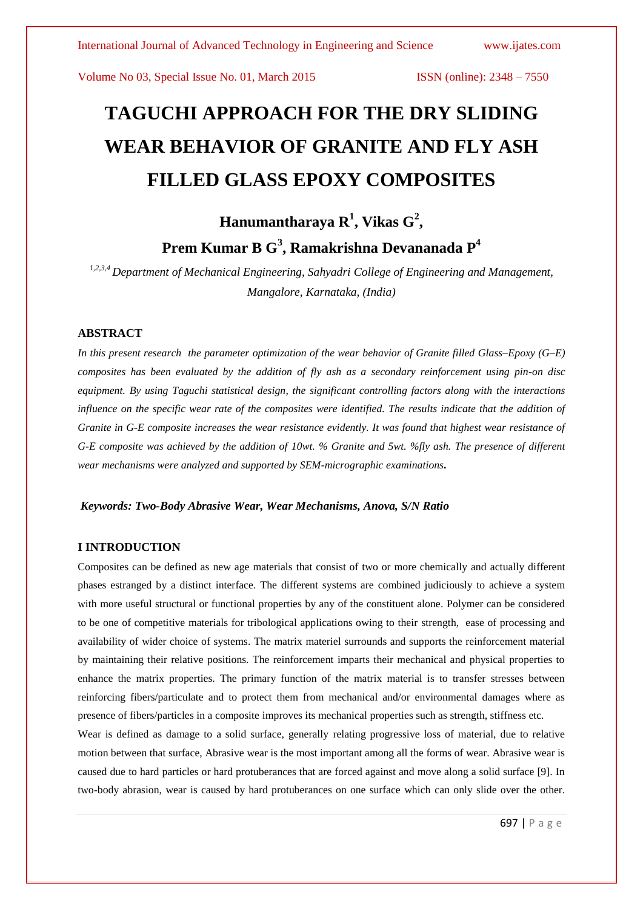# **TAGUCHI APPROACH FOR THE DRY SLIDING WEAR BEHAVIOR OF GRANITE AND FLY ASH FILLED GLASS EPOXY COMPOSITES**

## **Hanumantharaya R<sup>1</sup> , Vikas G<sup>2</sup> , Prem Kumar B G<sup>3</sup> , Ramakrishna Devananada P 4**

*1,2,3,4 Department of Mechanical Engineering, Sahyadri College of Engineering and Management, Mangalore, Karnataka, (India)*

#### **ABSTRACT**

*In this present research the parameter optimization of the wear behavior of Granite filled Glass–Epoxy (G–E) composites has been evaluated by the addition of fly ash as a secondary reinforcement using pin-on disc equipment. By using Taguchi statistical design, the significant controlling factors along with the interactions influence on the specific wear rate of the composites were identified. The results indicate that the addition of Granite in G-E composite increases the wear resistance evidently. It was found that highest wear resistance of G-E composite was achieved by the addition of 10wt. % Granite and 5wt. %fly ash. The presence of different wear mechanisms were analyzed and supported by SEM-micrographic examinations***.**

#### *Keywords: Two-Body Abrasive Wear, Wear Mechanisms, Anova, S/N Ratio*

#### **I INTRODUCTION**

Composites can be defined as new age materials that consist of two or more chemically and actually different phases estranged by a distinct interface. The different systems are combined judiciously to achieve a system with more useful structural or functional properties by any of the constituent alone. Polymer can be considered to be one of competitive materials for tribological applications owing to their strength, ease of processing and availability of wider choice of systems. The matrix materiel surrounds and supports the reinforcement material by maintaining their relative positions. The reinforcement imparts their mechanical and physical properties to enhance the matrix properties. The primary function of the matrix material is to transfer stresses between reinforcing fibers/particulate and to protect them from mechanical and/or environmental damages where as presence of fibers/particles in a composite improves its mechanical properties such as strength, stiffness etc.

Wear is defined as damage to a solid surface, generally relating progressive loss of material, due to relative motion between that surface, Abrasive wear is the most important among all the forms of wear. Abrasive wear is caused due to hard particles or hard protuberances that are forced against and move along a solid surface [9]. In two-body abrasion, wear is caused by hard protuberances on one surface which can only slide over the other.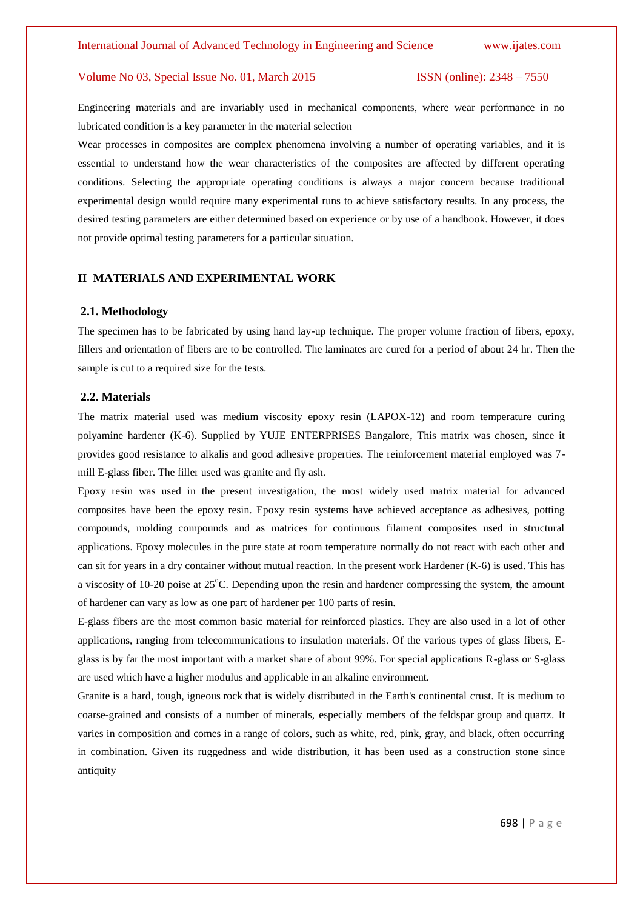Engineering materials and are invariably used in mechanical components, where wear performance in no lubricated condition is a key parameter in the material selection

Wear processes in composites are complex phenomena involving a number of operating variables, and it is essential to understand how the wear characteristics of the composites are affected by different operating conditions. Selecting the appropriate operating conditions is always a major concern because traditional experimental design would require many experimental runs to achieve satisfactory results. In any process, the desired testing parameters are either determined based on experience or by use of a handbook. However, it does not provide optimal testing parameters for a particular situation.

### **II MATERIALS AND EXPERIMENTAL WORK**

#### **2.1. Methodology**

The specimen has to be fabricated by using hand lay-up technique. The proper volume fraction of fibers, epoxy, fillers and orientation of fibers are to be controlled. The laminates are cured for a period of about 24 hr. Then the sample is cut to a required size for the tests.

#### **2.2. Materials**

The matrix material used was medium viscosity epoxy resin (LAPOX-12) and room temperature curing polyamine hardener (K-6). Supplied by YUJE ENTERPRISES Bangalore, This matrix was chosen, since it provides good resistance to alkalis and good adhesive properties. The reinforcement material employed was 7 mill E-glass fiber. The filler used was granite and fly ash.

Epoxy resin was used in the present investigation, the most widely used matrix material for advanced composites have been the epoxy resin. Epoxy resin systems have achieved acceptance as adhesives, potting compounds, molding compounds and as matrices for continuous filament composites used in structural applications. Epoxy molecules in the pure state at room temperature normally do not react with each other and can sit for years in a dry container without mutual reaction. In the present work Hardener (K-6) is used. This has a viscosity of 10-20 poise at  $25^{\circ}$ C. Depending upon the resin and hardener compressing the system, the amount of hardener can vary as low as one part of hardener per 100 parts of resin.

E-glass fibers are the most common basic material for reinforced plastics. They are also used in a lot of other applications, ranging from telecommunications to insulation materials. Of the various types of glass fibers, Eglass is by far the most important with a market share of about 99%. For special applications R-glass or S-glass are used which have a higher modulus and applicable in an alkaline environment.

Granite is a hard, tough, igneous rock that is widely distributed in the Earth's continental crust. It is medium to coarse-grained and consists of a number of minerals, especially members of the feldspar group and quartz. It varies in composition and comes in a range of colors, such as white, red, pink, gray, and black, often occurring in combination. Given its ruggedness and wide distribution, it has been used as a construction stone since antiquity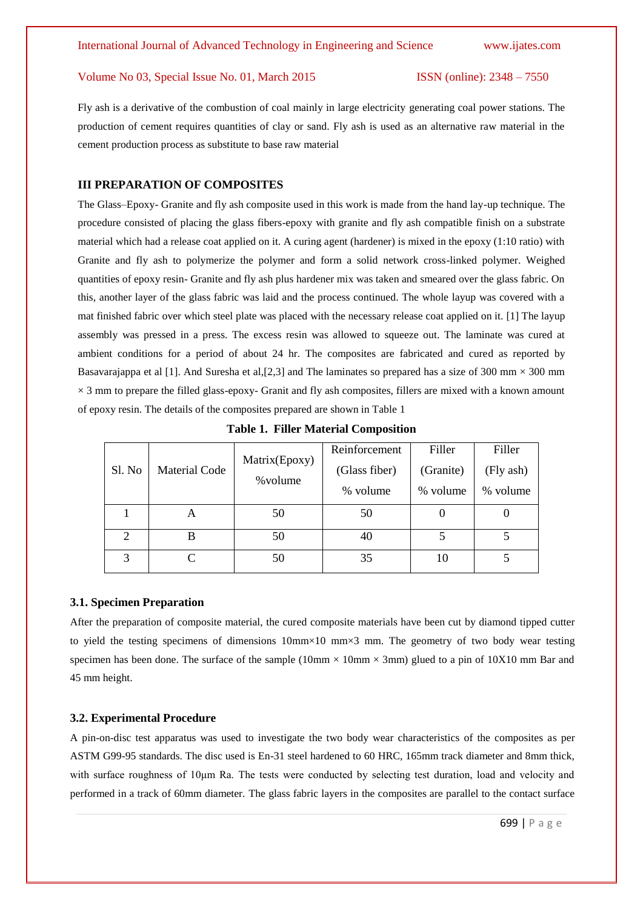Fly ash is a derivative of the combustion of coal mainly in large electricity generating coal power stations. The production of cement requires quantities of clay or sand. Fly ash is used as an alternative raw material in the cement production process as substitute to base raw material

#### **III PREPARATION OF COMPOSITES**

The Glass–Epoxy- Granite and fly ash composite used in this work is made from the hand lay-up technique. The procedure consisted of placing the glass fibers-epoxy with granite and fly ash compatible finish on a substrate material which had a release coat applied on it. A curing agent (hardener) is mixed in the epoxy (1:10 ratio) with Granite and fly ash to polymerize the polymer and form a solid network cross-linked polymer. Weighed quantities of epoxy resin- Granite and fly ash plus hardener mix was taken and smeared over the glass fabric. On this, another layer of the glass fabric was laid and the process continued. The whole layup was covered with a mat finished fabric over which steel plate was placed with the necessary release coat applied on it. [1] The layup assembly was pressed in a press. The excess resin was allowed to squeeze out. The laminate was cured at ambient conditions for a period of about 24 hr. The composites are fabricated and cured as reported by Basavarajappa et al [1]. And Suresha et al, [2,3] and The laminates so prepared has a size of 300 mm  $\times$  300 mm  $\times$  3 mm to prepare the filled glass-epoxy- Granit and fly ash composites, fillers are mixed with a known amount of epoxy resin. The details of the composites prepared are shown in Table 1

| Sl. No                      | <b>Material Code</b> | Matrix(Epoxy)<br>% volume | Reinforcement<br>(Glass fiber)<br>% volume | Filler<br>(Granite)<br>% volume | Filler<br>(Fly ash)<br>% volume |
|-----------------------------|----------------------|---------------------------|--------------------------------------------|---------------------------------|---------------------------------|
|                             | A                    | 50                        | 50                                         |                                 |                                 |
| $\mathcal{D}_{\mathcal{A}}$ | B                    | 50                        | 40                                         |                                 |                                 |
| 3                           |                      | 50                        | 35                                         | 10                              |                                 |

**Table 1. Filler Material Composition**

#### **3.1. Specimen Preparation**

After the preparation of composite material, the cured composite materials have been cut by diamond tipped cutter to yield the testing specimens of dimensions 10mm×10 mm×3 mm. The geometry of two body wear testing specimen has been done. The surface of the sample ( $10\text{mm} \times 10\text{mm} \times 3\text{mm}$ ) glued to a pin of  $10X10$  mm Bar and 45 mm height.

#### **3.2. Experimental Procedure**

A pin-on-disc test apparatus was used to investigate the two body wear characteristics of the composites as per ASTM G99-95 standards. The disc used is En-31 steel hardened to 60 HRC, 165mm track diameter and 8mm thick, with surface roughness of 10um Ra. The tests were conducted by selecting test duration, load and velocity and performed in a track of 60mm diameter. The glass fabric layers in the composites are parallel to the contact surface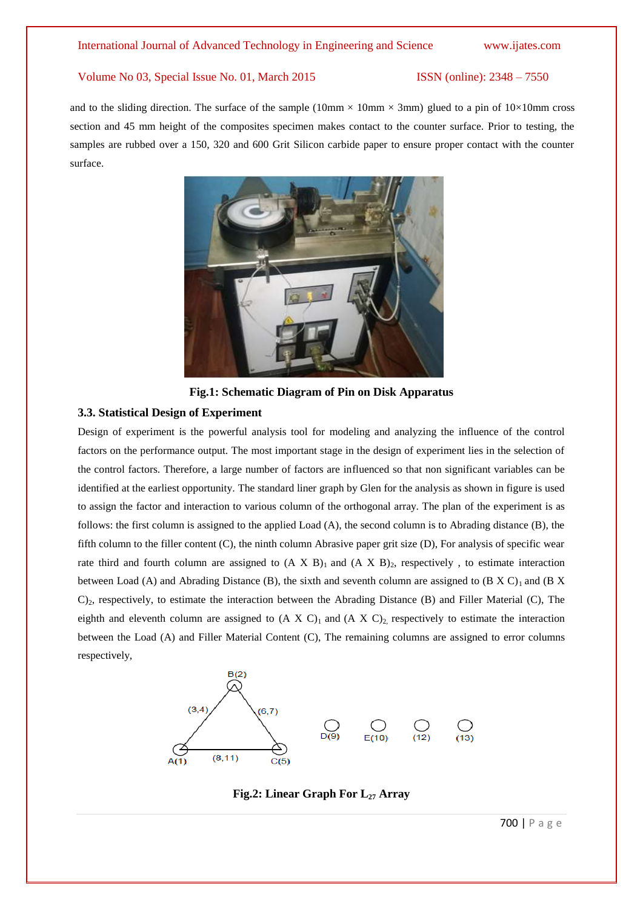and to the sliding direction. The surface of the sample (10mm  $\times$  10mm  $\times$  3mm) glued to a pin of 10 $\times$ 10mm cross section and 45 mm height of the composites specimen makes contact to the counter surface. Prior to testing, the samples are rubbed over a 150, 320 and 600 Grit Silicon carbide paper to ensure proper contact with the counter surface.



**Fig.1: Schematic Diagram of Pin on Disk Apparatus**

#### **3.3. Statistical Design of Experiment**

Design of experiment is the powerful analysis tool for modeling and analyzing the influence of the control factors on the performance output. The most important stage in the design of experiment lies in the selection of the control factors. Therefore, a large number of factors are influenced so that non significant variables can be identified at the earliest opportunity. The standard liner graph by Glen for the analysis as shown in figure is used to assign the factor and interaction to various column of the orthogonal array. The plan of the experiment is as follows: the first column is assigned to the applied Load (A), the second column is to Abrading distance (B), the fifth column to the filler content (C), the ninth column Abrasive paper grit size (D), For analysis of specific wear rate third and fourth column are assigned to  $(A \times B)_1$  and  $(A \times B)_2$ , respectively, to estimate interaction between Load (A) and Abrading Distance (B), the sixth and seventh column are assigned to  $(B \times C)_1$  and  $(B \times C)_2$ C)2, respectively, to estimate the interaction between the Abrading Distance (B) and Filler Material (C), The eighth and eleventh column are assigned to  $(A \ X \ C)_1$  and  $(A \ X \ C)_2$ , respectively to estimate the interaction between the Load (A) and Filler Material Content (C), The remaining columns are assigned to error columns respectively,



**Fig.2: Linear Graph For L<sup>27</sup> Array**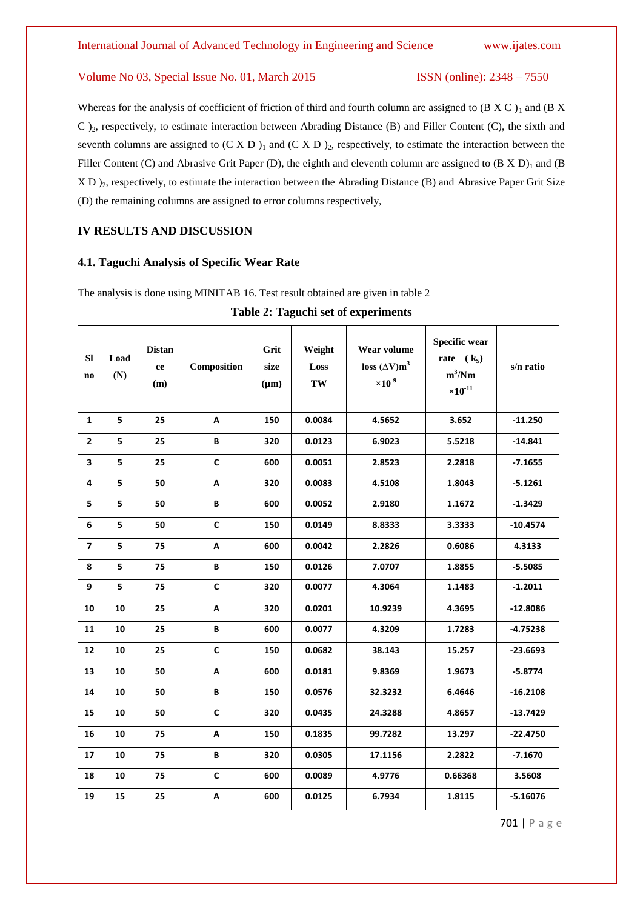Whereas for the analysis of coefficient of friction of third and fourth column are assigned to  $(B \times C)_1$  and  $(B \times C)_2$ C )2, respectively, to estimate interaction between Abrading Distance (B) and Filler Content (C), the sixth and seventh columns are assigned to  $(C X D)_1$  and  $(C X D)_2$ , respectively, to estimate the interaction between the Filler Content (C) and Abrasive Grit Paper (D), the eighth and eleventh column are assigned to  $(B X D)$ <sub>1</sub> and  $(B B)$ X D  $_2$ , respectively, to estimate the interaction between the Abrading Distance (B) and Abrasive Paper Grit Size (D) the remaining columns are assigned to error columns respectively,

### **IV RESULTS AND DISCUSSION**

#### **4.1. Taguchi Analysis of Specific Wear Rate**

The analysis is done using MINITAB 16. Test result obtained are given in table 2

| <b>SI</b><br>$\mathbf{n}\mathbf{o}$ | Load<br>(N) | <b>Distan</b><br>ce<br>(m) | Composition  | Grit<br>size<br>$(\mu m)$ | Weight<br>Loss<br>$\mathbf{TW}$ | Wear volume<br>loss $(\Delta V) m^3$<br>$\times 10^{-9}$ | <b>Specific wear</b><br>rate $(k_S)$<br>$m^3/Nm$<br>$\times 10^{-11}$ | s/n ratio  |
|-------------------------------------|-------------|----------------------------|--------------|---------------------------|---------------------------------|----------------------------------------------------------|-----------------------------------------------------------------------|------------|
| $\mathbf{1}$                        | 5           | 25                         | A            | 150                       | 0.0084                          | 4.5652                                                   | 3.652                                                                 | $-11.250$  |
| $\overline{2}$                      | 5           | 25                         | B            | 320                       | 0.0123                          | 6.9023                                                   | 5.5218                                                                | $-14.841$  |
| 3                                   | 5           | 25                         | $\mathsf{C}$ | 600                       | 0.0051                          | 2.8523                                                   | 2.2818                                                                | $-7.1655$  |
| 4                                   | 5           | 50                         | A            | 320                       | 0.0083                          | 4.5108                                                   | 1.8043                                                                | $-5.1261$  |
| 5                                   | 5           | 50                         | B            | 600                       | 0.0052                          | 2.9180                                                   | 1.1672                                                                | $-1.3429$  |
| $\boldsymbol{6}$                    | 5           | 50                         | $\mathsf{C}$ | 150                       | 0.0149                          | 8.8333                                                   | 3.3333                                                                | $-10.4574$ |
| $\overline{7}$                      | 5           | 75                         | A            | 600                       | 0.0042                          | 2.2826                                                   | 0.6086                                                                | 4.3133     |
| 8                                   | 5           | 75                         | В            | 150                       | 0.0126                          | 7.0707                                                   | 1.8855                                                                | $-5.5085$  |
| 9                                   | 5           | 75                         | $\mathsf{C}$ | 320                       | 0.0077                          | 4.3064                                                   | 1.1483                                                                | $-1.2011$  |
| 10                                  | 10          | 25                         | A            | 320                       | 0.0201                          | 10.9239                                                  | 4.3695                                                                | $-12.8086$ |
| 11                                  | 10          | 25                         | B            | 600                       | 0.0077                          | 4.3209                                                   | 1.7283                                                                | $-4.75238$ |
| 12                                  | 10          | 25                         | $\mathsf{C}$ | 150                       | 0.0682                          | 38.143                                                   | 15.257                                                                | $-23.6693$ |
| 13                                  | 10          | 50                         | A            | 600                       | 0.0181                          | 9.8369                                                   | 1.9673                                                                | $-5.8774$  |
| 14                                  | 10          | 50                         | В            | 150                       | 0.0576                          | 32.3232                                                  | 6.4646                                                                | $-16.2108$ |
| 15                                  | 10          | 50                         | $\mathsf{C}$ | 320                       | 0.0435                          | 24.3288                                                  | 4.8657                                                                | $-13.7429$ |
| 16                                  | 10          | 75                         | A            | 150                       | 0.1835                          | 99.7282                                                  | 13.297                                                                | $-22.4750$ |
| 17                                  | 10          | 75                         | B            | 320                       | 0.0305                          | 17.1156                                                  | 2.2822                                                                | $-7.1670$  |
| 18                                  | 10          | 75                         | $\mathsf{C}$ | 600                       | 0.0089                          | 4.9776                                                   | 0.66368                                                               | 3.5608     |
| 19                                  | 15          | 25                         | A            | 600                       | 0.0125                          | 6.7934                                                   | 1.8115                                                                | $-5.16076$ |

**Table 2: Taguchi set of experiments**

701 | P a g e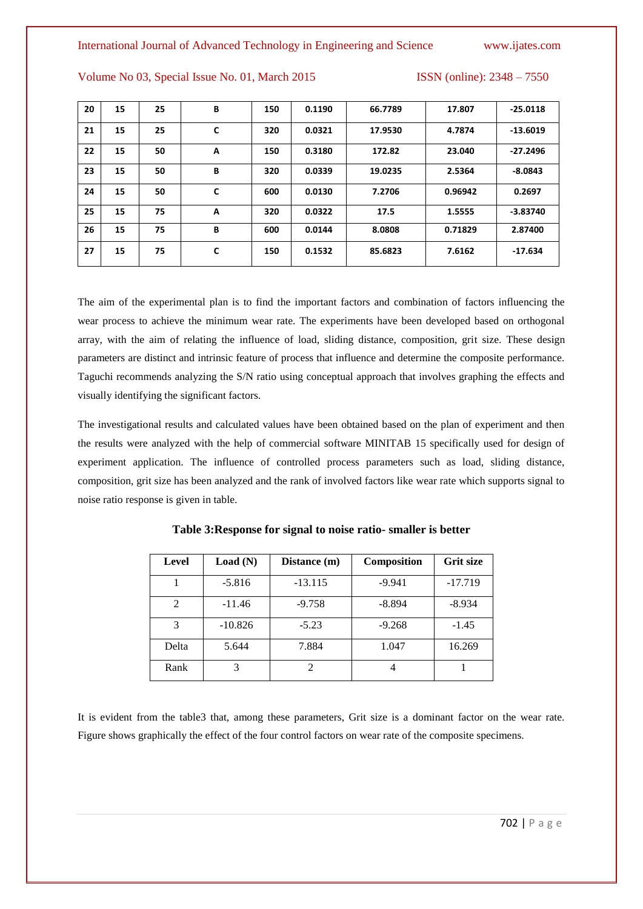#### International Journal of Advanced Technology in Engineering and Science www.ijates.com

Volume No 03, Special Issue No. 01, March 2015 ISSN (online): 2348 – 7550

| 20 | 15 | 25 | В | 150 | 0.1190 | 66.7789 | 17.807  | $-25.0118$ |
|----|----|----|---|-----|--------|---------|---------|------------|
| 21 | 15 | 25 | C | 320 | 0.0321 | 17.9530 | 4.7874  | $-13.6019$ |
| 22 | 15 | 50 | A | 150 | 0.3180 | 172.82  | 23.040  | $-27.2496$ |
| 23 | 15 | 50 | В | 320 | 0.0339 | 19.0235 | 2.5364  | $-8.0843$  |
| 24 | 15 | 50 | C | 600 | 0.0130 | 7.2706  | 0.96942 | 0.2697     |
| 25 | 15 | 75 | A | 320 | 0.0322 | 17.5    | 1.5555  | $-3.83740$ |
| 26 | 15 | 75 | В | 600 | 0.0144 | 8.0808  | 0.71829 | 2.87400    |
| 27 | 15 | 75 | C | 150 | 0.1532 | 85.6823 | 7.6162  | $-17.634$  |

The aim of the experimental plan is to find the important factors and combination of factors influencing the wear process to achieve the minimum wear rate. The experiments have been developed based on orthogonal array, with the aim of relating the influence of load, sliding distance, composition, grit size. These design parameters are distinct and intrinsic feature of process that influence and determine the composite performance. Taguchi recommends analyzing the S/N ratio using conceptual approach that involves graphing the effects and visually identifying the significant factors.

The investigational results and calculated values have been obtained based on the plan of experiment and then the results were analyzed with the help of commercial software MINITAB 15 specifically used for design of experiment application. The influence of controlled process parameters such as load, sliding distance, composition, grit size has been analyzed and the rank of involved factors like wear rate which supports signal to noise ratio response is given in table.

| Level | Load(N)   | Distance (m) | Composition | <b>Grit size</b> |
|-------|-----------|--------------|-------------|------------------|
|       | $-5.816$  | $-13.115$    | $-9.941$    | $-17.719$        |
| 2     | $-11.46$  | $-9.758$     | $-8.894$    | $-8.934$         |
| 3     | $-10.826$ | $-5.23$      | $-9.268$    | $-1.45$          |
| Delta | 5.644     | 7.884        | 1.047       | 16.269           |
| Rank  |           | 2            |             |                  |

**Table 3:Response for signal to noise ratio- smaller is better** 

It is evident from the table3 that, among these parameters, Grit size is a dominant factor on the wear rate. Figure shows graphically the effect of the four control factors on wear rate of the composite specimens.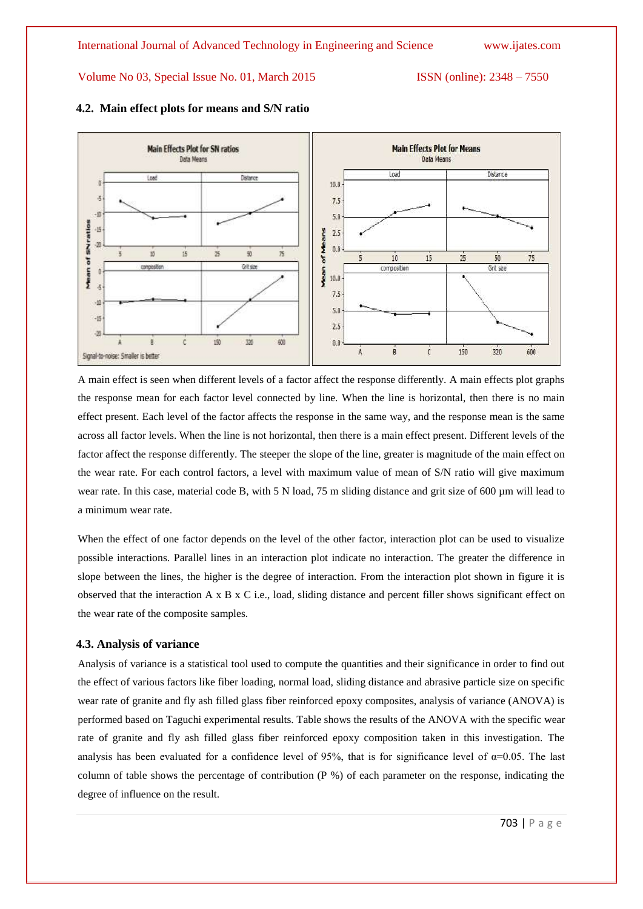

#### **4.2. Main effect plots for means and S/N ratio**

A main effect is seen when different levels of a factor affect the response differently. A main effects plot graphs the response mean for each factor level connected by line. When the line is horizontal, then there is no main effect present. Each level of the factor affects the response in the same way, and the response mean is the same across all factor levels. When the line is not horizontal, then there is a main effect present. Different levels of the factor affect the response differently. The steeper the slope of the line, greater is magnitude of the main effect on the wear rate. For each control factors, a level with maximum value of mean of S/N ratio will give maximum wear rate. In this case, material code B, with 5 N load, 75 m sliding distance and grit size of 600 µm will lead to a minimum wear rate.

When the effect of one factor depends on the level of the other factor, interaction plot can be used to visualize possible interactions. Parallel lines in an interaction plot indicate no interaction. The greater the difference in slope between the lines, the higher is the degree of interaction. From the interaction plot shown in figure it is observed that the interaction A x B x C i.e., load, sliding distance and percent filler shows significant effect on the wear rate of the composite samples.

#### **4.3. Analysis of variance**

Analysis of variance is a statistical tool used to compute the quantities and their significance in order to find out the effect of various factors like fiber loading, normal load, sliding distance and abrasive particle size on specific wear rate of granite and fly ash filled glass fiber reinforced epoxy composites, analysis of variance (ANOVA) is performed based on Taguchi experimental results. Table shows the results of the ANOVA with the specific wear rate of granite and fly ash filled glass fiber reinforced epoxy composition taken in this investigation. The analysis has been evaluated for a confidence level of 95%, that is for significance level of  $\alpha$ =0.05. The last column of table shows the percentage of contribution (P %) of each parameter on the response, indicating the degree of influence on the result.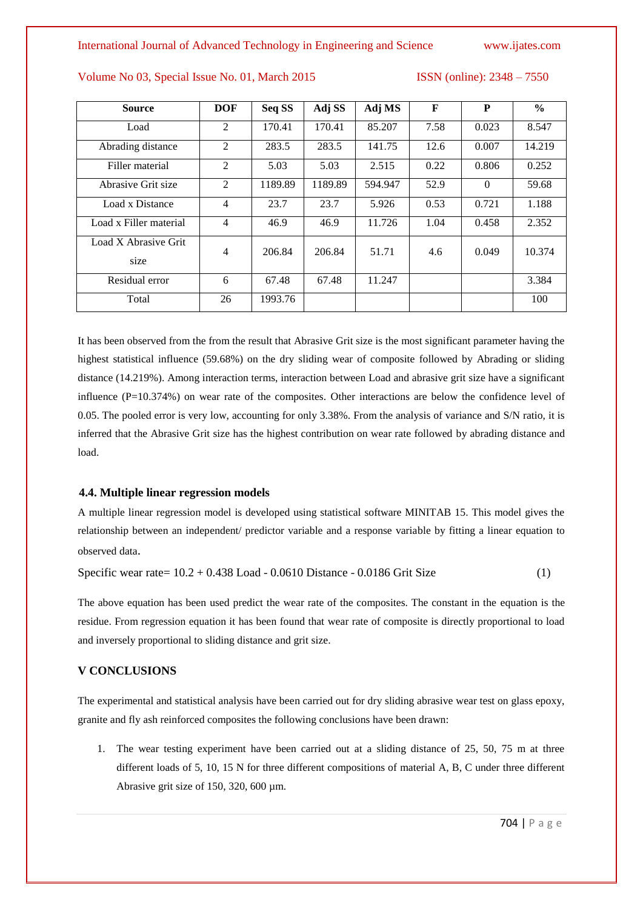| <b>Source</b>                | <b>DOF</b>     | Seq SS  | Adj SS  | Adj MS  | F    | P        | $\frac{6}{6}$ |
|------------------------------|----------------|---------|---------|---------|------|----------|---------------|
| Load                         | 2              | 170.41  | 170.41  | 85.207  | 7.58 | 0.023    | 8.547         |
| Abrading distance            | 2              | 283.5   | 283.5   | 141.75  | 12.6 | 0.007    | 14.219        |
| Filler material              | 2              | 5.03    | 5.03    | 2.515   | 0.22 | 0.806    | 0.252         |
| Abrasive Grit size           | 2              | 1189.89 | 1189.89 | 594.947 | 52.9 | $\Omega$ | 59.68         |
| Load x Distance              | $\overline{4}$ | 23.7    | 23.7    | 5.926   | 0.53 | 0.721    | 1.188         |
| Load x Filler material       | $\overline{4}$ | 46.9    | 46.9    | 11.726  | 1.04 | 0.458    | 2.352         |
| Load X Abrasive Grit<br>size | $\overline{4}$ | 206.84  | 206.84  | 51.71   | 4.6  | 0.049    | 10.374        |
|                              |                |         |         |         |      |          |               |
| Residual error               | 6              | 67.48   | 67.48   | 11.247  |      |          | 3.384         |
| Total                        | 26             | 1993.76 |         |         |      |          | 100           |

It has been observed from the from the result that Abrasive Grit size is the most significant parameter having the highest statistical influence (59.68%) on the dry sliding wear of composite followed by Abrading or sliding distance (14.219%). Among interaction terms, interaction between Load and abrasive grit size have a significant influence  $(P=10.374\%)$  on wear rate of the composites. Other interactions are below the confidence level of 0.05. The pooled error is very low, accounting for only 3.38%. From the analysis of variance and S/N ratio, it is inferred that the Abrasive Grit size has the highest contribution on wear rate followed by abrading distance and load.

#### **4.4. Multiple linear regression models**

A multiple linear regression model is developed using statistical software MINITAB 15. This model gives the relationship between an independent/ predictor variable and a response variable by fitting a linear equation to observed data.

Specific wear rate= 10.2 + 0.438 Load - 0.0610 Distance - 0.0186 Grit Size (1)

The above equation has been used predict the wear rate of the composites. The constant in the equation is the residue. From regression equation it has been found that wear rate of composite is directly proportional to load and inversely proportional to sliding distance and grit size.

### **V CONCLUSIONS**

The experimental and statistical analysis have been carried out for dry sliding abrasive wear test on glass epoxy, granite and fly ash reinforced composites the following conclusions have been drawn:

1. The wear testing experiment have been carried out at a sliding distance of 25, 50, 75 m at three different loads of 5, 10, 15 N for three different compositions of material A, B, C under three different Abrasive grit size of 150, 320, 600 µm.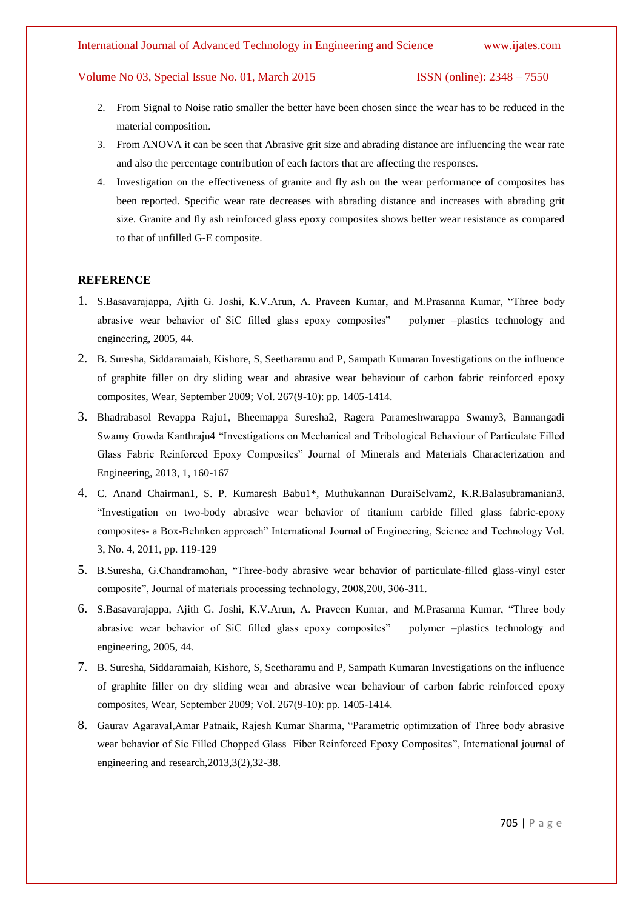#### International Journal of Advanced Technology in Engineering and Science www.ijates.com

#### Volume No 03, Special Issue No. 01, March 2015 ISSN (online): 2348 – 7550

- 2. From Signal to Noise ratio smaller the better have been chosen since the wear has to be reduced in the material composition.
- 3. From ANOVA it can be seen that Abrasive grit size and abrading distance are influencing the wear rate and also the percentage contribution of each factors that are affecting the responses.
- 4. Investigation on the effectiveness of granite and fly ash on the wear performance of composites has been reported. Specific wear rate decreases with abrading distance and increases with abrading grit size. Granite and fly ash reinforced glass epoxy composites shows better wear resistance as compared to that of unfilled G-E composite.

### **REFERENCE**

- 1. S.Basavarajappa, Ajith G. Joshi, K.V.Arun, A. Praveen Kumar, and M.Prasanna Kumar, "Three body abrasive wear behavior of SiC filled glass epoxy composites" polymer –plastics technology and engineering, 2005, 44.
- 2. B. Suresha, Siddaramaiah, Kishore, S, Seetharamu and P, Sampath Kumaran Investigations on the influence of graphite filler on dry sliding wear and abrasive wear behaviour of carbon fabric reinforced epoxy composites, Wear, September 2009; Vol. 267(9-10): pp. 1405-1414.
- 3. Bhadrabasol Revappa Raju1, Bheemappa Suresha2, Ragera Parameshwarappa Swamy3, Bannangadi Swamy Gowda Kanthraju4 "Investigations on Mechanical and Tribological Behaviour of Particulate Filled Glass Fabric Reinforced Epoxy Composites" Journal of Minerals and Materials Characterization and Engineering, 2013, 1, 160-167
- 4. C. Anand Chairman1, S. P. Kumaresh Babu1\*, Muthukannan DuraiSelvam2, K.R.Balasubramanian3. "Investigation on two-body abrasive wear behavior of titanium carbide filled glass fabric-epoxy composites- a Box-Behnken approach" International Journal of Engineering, Science and Technology Vol. 3, No. 4, 2011, pp. 119-129
- 5. B.Suresha, G.Chandramohan, "Three-body abrasive wear behavior of particulate-filled glass-vinyl ester composite", Journal of materials processing technology, 2008,200, 306-311.
- 6. S.Basavarajappa, Ajith G. Joshi, K.V.Arun, A. Praveen Kumar, and M.Prasanna Kumar, "Three body abrasive wear behavior of SiC filled glass epoxy composites" polymer –plastics technology and engineering, 2005, 44.
- 7. B. Suresha, Siddaramaiah, Kishore, S, Seetharamu and P, Sampath Kumaran Investigations on the influence of graphite filler on dry sliding wear and abrasive wear behaviour of carbon fabric reinforced epoxy composites, Wear, September 2009; Vol. 267(9-10): pp. 1405-1414.
- 8. Gaurav Agaraval,Amar Patnaik, Rajesh Kumar Sharma, "Parametric optimization of Three body abrasive wear behavior of Sic Filled Chopped Glass Fiber Reinforced Epoxy Composites", International journal of engineering and research,2013,3(2),32-38.